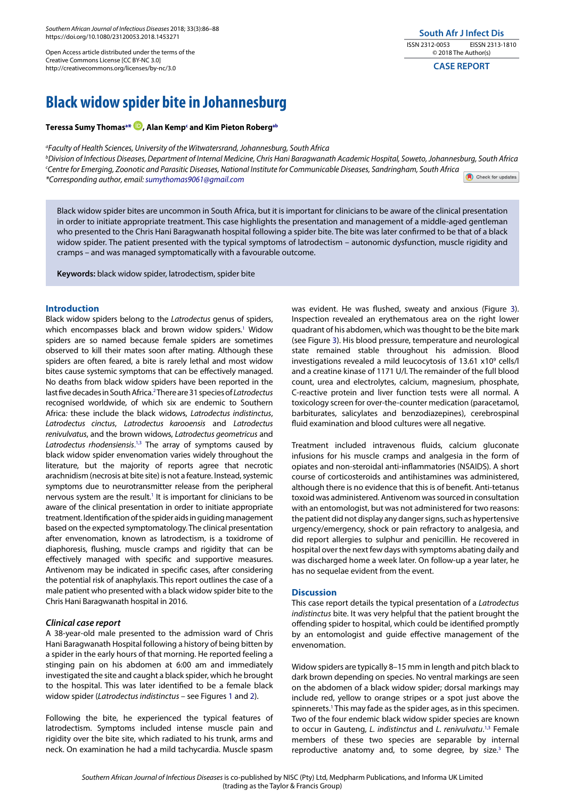*Southern African Journal of Infectious Diseases* 2018; 33(3):86–88 https://doi.org/10.1080/23120053.2018.1453271

Open Access article distributed under the terms of the Creative Commons License [CC BY-NC 3.0] http://creativecommons.org/licenses/by-nc/3.0

# **South Afr J Infect Dis** ISSN 2312-0053 EISSN 2313-1810 © 2018 The Author(s)

**CASE REPORT**

# **Black widow spider bite in Johannesburg**

## **Teressa Sumy Thomasa \* , Alan Kempc and Kim Pieton Robergab**

*a Faculty of Health Sciences, University of the Witwatersrand, Johannesburg, South Africa*

*b Division of Infectious Diseases, Department of Internal Medicine, Chris Hani Baragwanath Academic Hospital, Soweto, Johannesburg, South Africa c Centre for Emerging, Zoonotic and Parasitic Diseases, National Institute for Communicable Diseases, Sandringham, South Africa* Check for undates *\*Corresponding author, email: sumythomas9061@gmail.com* 

Black widow spider bites are uncommon in South Africa, but it is important for clinicians to be aware of the clinical presentation in order to initiate appropriate treatment. This case highlights the presentation and management of a middle-aged gentleman who presented to the Chris Hani Baragwanath hospital following a spider bite. The bite was later confirmed to be that of a black widow spider. The patient presented with the typical symptoms of latrodectism – autonomic dysfunction, muscle rigidity and cramps – and was managed symptomatically with a favourable outcome.

**Keywords:** black widow spider, latrodectism, spider bite

### **Introduction**

Black widow spiders belong to the *Latrodectus* genus of spiders, which encompasses black and brown widow spiders.<sup>1</sup> Widow spiders are so named because female spiders are sometimes observed to kill their mates soon after mating. Although these spiders are often feared, a bite is rarely lethal and most widow bites cause systemic symptoms that can be effectively managed. No deaths from black widow spiders have been reported in the last five decades in South Africa.<sup>2</sup>There are 31 species of Latrodectus recognised worldwide, of which six are endemic to Southern Africa*:* these include the black widows, *Latrodectus indistinctus*, *Latrodectus cinctus*, *Latrodectus karooensis* and *Latrodectus renivulvatus*, and the brown widows, *Latrodectus geometricus* and *Latrodectus rhodensiensis*. 1,3 The array of symptoms caused by black widow spider envenomation varies widely throughout the literature, but the majority of reports agree that necrotic arachnidism (necrosis at bite site) is not a feature. Instead, systemic symptoms due to neurotransmitter release from the peripheral nervous system are the result.<sup>1</sup> It is important for clinicians to be aware of the clinical presentation in order to initiate appropriate treatment. Identification of the spider aids in guiding management based on the expected symptomatology. The clinical presentation after envenomation, known as latrodectism, is a toxidrome of diaphoresis, flushing, muscle cramps and rigidity that can be effectively managed with specific and supportive measures. Antivenom may be indicated in specific cases, after considering the potential risk of anaphylaxis. This report outlines the case of a male patient who presented with a black widow spider bite to the Chris Hani Baragwanath hospital in 2016.

#### *Clinical case report*

A 38-year-old male presented to the admission ward of Chris Hani Baragwanath Hospital following a history of being bitten by a spider in the early hours of that morning. He reported feeling a stinging pain on his abdomen at 6:00 am and immediately investigated the site and caught a black spider, which he brought to the hospital. This was later identified to be a female black widow spider (*Latrodectus indistinctus* – see Figures 1 and 2).

Following the bite, he experienced the typical features of latrodectism. Symptoms included intense muscle pain and rigidity over the bite site, which radiated to his trunk, arms and neck. On examination he had a mild tachycardia. Muscle spasm was evident. He was flushed, sweaty and anxious (Figure 3). Inspection revealed an erythematous area on the right lower quadrant of his abdomen, which was thought to be the bite mark (see Figure 3). His blood pressure, temperature and neurological state remained stable throughout his admission. Blood investigations revealed a mild leucocytosis of 13.61 x10<sup>9</sup> cells/l and a creatine kinase of 1171 U/l. The remainder of the full blood count, urea and electrolytes, calcium, magnesium, phosphate, C-reactive protein and liver function tests were all normal. A toxicology screen for over-the-counter medication (paracetamol, barbiturates, salicylates and benzodiazepines), cerebrospinal fluid examination and blood cultures were all negative.

Treatment included intravenous fluids, calcium gluconate infusions for his muscle cramps and analgesia in the form of opiates and non-steroidal anti-inflammatories (NSAIDS). A short course of corticosteroids and antihistamines was administered, although there is no evidence that this is of benefit. Anti-tetanus toxoid was administered. Antivenom was sourced in consultation with an entomologist, but was not administered for two reasons: the patient did not display any danger signs, such as hypertensive urgency/emergency, shock or pain refractory to analgesia, and did report allergies to sulphur and penicillin. He recovered in hospital over the next few days with symptoms abating daily and was discharged home a week later. On follow-up a year later, he has no sequelae evident from the event.

#### **Discussion**

This case report details the typical presentation of a *Latrodectus indistinctus* bite. It was very helpful that the patient brought the offending spider to hospital, which could be identified promptly by an entomologist and guide effective management of the envenomation.

Widow spiders are typically 8–15 mm in length and pitch black to dark brown depending on species. No ventral markings are seen on the abdomen of a black widow spider; dorsal markings may include red, yellow to orange stripes or a spot just above the spinnerets.<sup>1</sup> This may fade as the spider ages, as in this specimen. Two of the four endemic black widow spider species are known to occur in Gauteng, *L. indistinctus* and *L. renivulvatu*. 1,3 Female members of these two species are separable by internal reproductive anatomy and, to some degree, by size.<sup>3</sup> The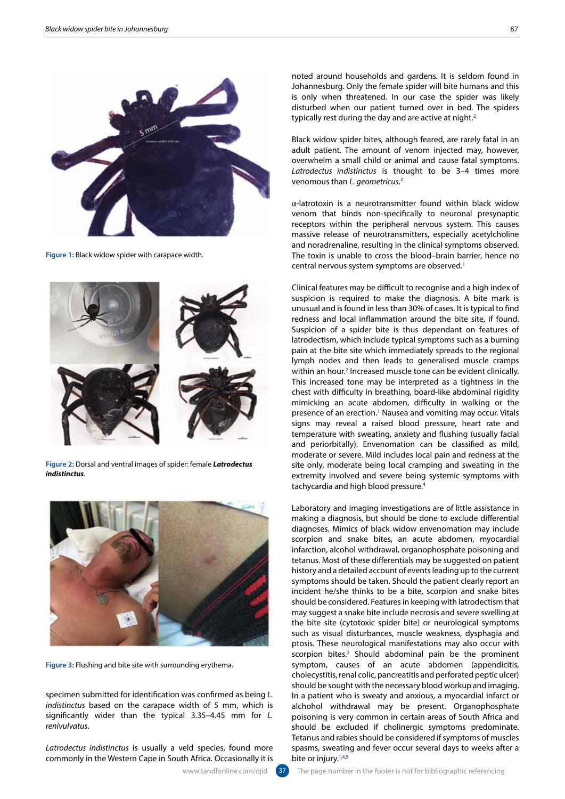

**Figure 1:** Black widow spider with carapace width.



**Figure 2:** Dorsal and ventral images of spider: female *Latrodectus indistinctus*.



**Figure 3:** Flushing and bite site with surrounding erythema.

specimen submitted for identification was confirmed as being *L. indistinctus* based on the carapace width of 5 mm, which is significantly wider than the typical 3.35–4.45 mm for *L. renivulvatus*.

*Latrodectus indistinctus* is usually a veld species, found more commonly in the Western Cape in South Africa. Occasionally it is

noted around households and gardens. It is seldom found in Johannesburg. Only the female spider will bite humans and this is only when threatened. In our case the spider was likely disturbed when our patient turned over in bed. The spiders typically rest during the day and are active at night.<sup>2</sup>

Black widow spider bites, although feared, are rarely fatal in an adult patient. The amount of venom injected may, however, overwhelm a small child or animal and cause fatal symptoms. *Latrodectus indistinctus* is thought to be 3–4 times more venomous than *L. geometricus*. 2

α-latrotoxin is a neurotransmitter found within black widow venom that binds non-specifically to neuronal presynaptic receptors within the peripheral nervous system. This causes massive release of neurotransmitters, especially acetylcholine and noradrenaline, resulting in the clinical symptoms observed. The toxin is unable to cross the blood–brain barrier, hence no central nervous system symptoms are observed.<sup>1</sup>

Clinical features may be difficult to recognise and a high index of suspicion is required to make the diagnosis. A bite mark is unusual and is found in less than 30% of cases. It is typical to find redness and local inflammation around the bite site, if found. Suspicion of a spider bite is thus dependant on features of latrodectism, which include typical symptoms such as a burning pain at the bite site which immediately spreads to the regional lymph nodes and then leads to generalised muscle cramps within an hour.<sup>2</sup> Increased muscle tone can be evident clinically. This increased tone may be interpreted as a tightness in the chest with difficulty in breathing, board-like abdominal rigidity mimicking an acute abdomen, difficulty in walking or the presence of an erection.<sup>1</sup> Nausea and vomiting may occur. Vitals signs may reveal a raised blood pressure, heart rate and temperature with sweating, anxiety and flushing (usually facial and periorbitally). Envenomation can be classified as mild, moderate or severe. Mild includes local pain and redness at the site only, moderate being local cramping and sweating in the extremity involved and severe being systemic symptoms with tachycardia and high blood pressure. 4

Laboratory and imaging investigations are of little assistance in making a diagnosis, but should be done to exclude differential diagnoses. Mimics of black widow envenomation may include scorpion and snake bites, an acute abdomen, myocardial infarction, alcohol withdrawal, organophosphate poisoning and tetanus. Most of these differentials may be suggested on patient history and a detailed account of events leading up to the current symptoms should be taken. Should the patient clearly report an incident he/she thinks to be a bite, scorpion and snake bites should be considered. Features in keeping with latrodectism that may suggest a snake bite include necrosis and severe swelling at the bite site (cytotoxic spider bite) or neurological symptoms such as visual disturbances, muscle weakness, dysphagia and ptosis. These neurological manifestations may also occur with scorpion bites.<sup>2</sup> Should abdominal pain be the prominent symptom, causes of an acute abdomen (appendicitis, cholecystitis, renal colic, pancreatitis and perforated peptic ulcer) should be sought with the necessary blood workup and imaging. In a patient who is sweaty and anxious, a myocardial infarct or alchohol withdrawal may be present. Organophosphate poisoning is very common in certain areas of South Africa and should be excluded if cholinergic symptoms predominate. Tetanus and rabies should be considered if symptoms of muscles spasms, sweating and fever occur several days to weeks after a bite or injury.<sup>1,4,5</sup>